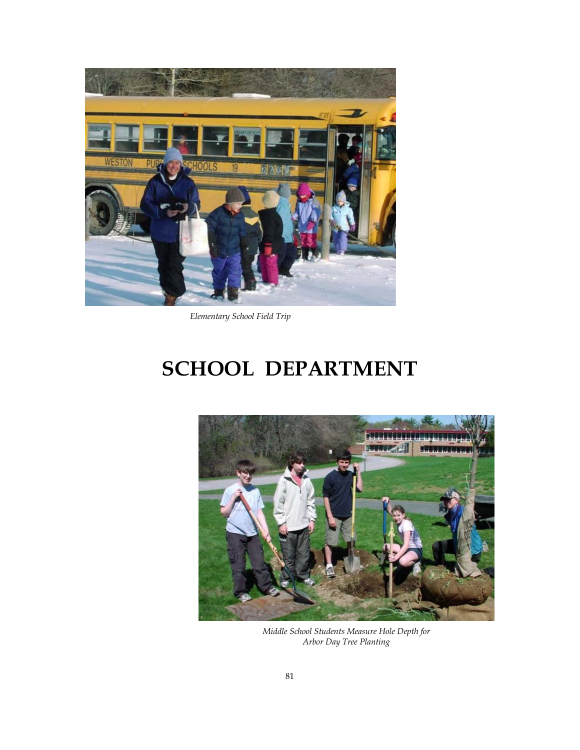

*Elementary School Field Trip* 

# **SCHOOL DEPARTMENT**



*Middle School Students Measure Hole Depth for Arbor Day Tree Planting*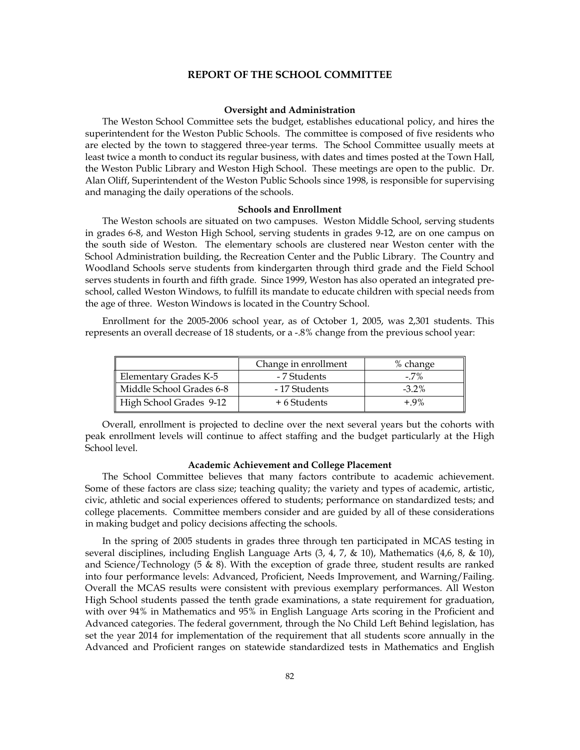## **REPORT OF THE SCHOOL COMMITTEE**

#### **Oversight and Administration**

 The Weston School Committee sets the budget, establishes educational policy, and hires the superintendent for the Weston Public Schools. The committee is composed of five residents who are elected by the town to staggered three-year terms. The School Committee usually meets at least twice a month to conduct its regular business, with dates and times posted at the Town Hall, the Weston Public Library and Weston High School. These meetings are open to the public. Dr. Alan Oliff, Superintendent of the Weston Public Schools since 1998, is responsible for supervising and managing the daily operations of the schools.

#### **Schools and Enrollment**

 The Weston schools are situated on two campuses. Weston Middle School, serving students in grades 6-8, and Weston High School, serving students in grades 9-12, are on one campus on the south side of Weston. The elementary schools are clustered near Weston center with the School Administration building, the Recreation Center and the Public Library. The Country and Woodland Schools serve students from kindergarten through third grade and the Field School serves students in fourth and fifth grade. Since 1999, Weston has also operated an integrated preschool, called Weston Windows, to fulfill its mandate to educate children with special needs from the age of three. Weston Windows is located in the Country School.

 Enrollment for the 2005-2006 school year, as of October 1, 2005, was 2,301 students. This represents an overall decrease of 18 students, or a -.8% change from the previous school year:

|                          | Change in enrollment | % change |
|--------------------------|----------------------|----------|
| Elementary Grades K-5    | - 7 Students         | $-7\%$   |
| Middle School Grades 6-8 | - 17 Students        | $-3.2\%$ |
| High School Grades 9-12  | + 6 Students         | $+9%$    |

 Overall, enrollment is projected to decline over the next several years but the cohorts with peak enrollment levels will continue to affect staffing and the budget particularly at the High School level.

#### **Academic Achievement and College Placement**

 The School Committee believes that many factors contribute to academic achievement. Some of these factors are class size; teaching quality; the variety and types of academic, artistic, civic, athletic and social experiences offered to students; performance on standardized tests; and college placements. Committee members consider and are guided by all of these considerations in making budget and policy decisions affecting the schools.

 In the spring of 2005 students in grades three through ten participated in MCAS testing in several disciplines, including English Language Arts  $(3, 4, 7, \& 10)$ , Mathematics  $(4, 6, 8, \& 10)$ , and Science/Technology (5 & 8). With the exception of grade three, student results are ranked into four performance levels: Advanced, Proficient, Needs Improvement, and Warning/Failing. Overall the MCAS results were consistent with previous exemplary performances. All Weston High School students passed the tenth grade examinations, a state requirement for graduation, with over 94% in Mathematics and 95% in English Language Arts scoring in the Proficient and Advanced categories. The federal government, through the No Child Left Behind legislation, has set the year 2014 for implementation of the requirement that all students score annually in the Advanced and Proficient ranges on statewide standardized tests in Mathematics and English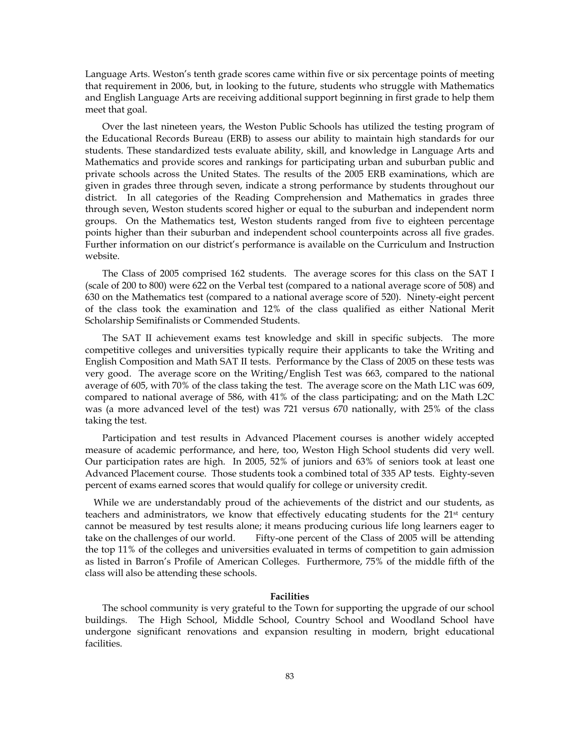Language Arts. Weston's tenth grade scores came within five or six percentage points of meeting that requirement in 2006, but, in looking to the future, students who struggle with Mathematics and English Language Arts are receiving additional support beginning in first grade to help them meet that goal.

 Over the last nineteen years, the Weston Public Schools has utilized the testing program of the Educational Records Bureau (ERB) to assess our ability to maintain high standards for our students. These standardized tests evaluate ability, skill, and knowledge in Language Arts and Mathematics and provide scores and rankings for participating urban and suburban public and private schools across the United States. The results of the 2005 ERB examinations, which are given in grades three through seven, indicate a strong performance by students throughout our district. In all categories of the Reading Comprehension and Mathematics in grades three through seven, Weston students scored higher or equal to the suburban and independent norm groups. On the Mathematics test, Weston students ranged from five to eighteen percentage points higher than their suburban and independent school counterpoints across all five grades. Further information on our district's performance is available on the Curriculum and Instruction website.

 The Class of 2005 comprised 162 students. The average scores for this class on the SAT I (scale of 200 to 800) were 622 on the Verbal test (compared to a national average score of 508) and 630 on the Mathematics test (compared to a national average score of 520). Ninety-eight percent of the class took the examination and 12% of the class qualified as either National Merit Scholarship Semifinalists or Commended Students.

 The SAT II achievement exams test knowledge and skill in specific subjects. The more competitive colleges and universities typically require their applicants to take the Writing and English Composition and Math SAT II tests. Performance by the Class of 2005 on these tests was very good. The average score on the Writing/English Test was 663, compared to the national average of 605, with 70% of the class taking the test. The average score on the Math L1C was 609, compared to national average of 586, with 41% of the class participating; and on the Math L2C was (a more advanced level of the test) was 721 versus 670 nationally, with 25% of the class taking the test.

 Participation and test results in Advanced Placement courses is another widely accepted measure of academic performance, and here, too, Weston High School students did very well. Our participation rates are high. In 2005, 52% of juniors and 63% of seniors took at least one Advanced Placement course. Those students took a combined total of 335 AP tests. Eighty-seven percent of exams earned scores that would qualify for college or university credit.

 While we are understandably proud of the achievements of the district and our students, as teachers and administrators, we know that effectively educating students for the  $21<sup>st</sup>$  century cannot be measured by test results alone; it means producing curious life long learners eager to take on the challenges of our world. Fifty-one percent of the Class of 2005 will be attending the top 11% of the colleges and universities evaluated in terms of competition to gain admission as listed in Barron's Profile of American Colleges. Furthermore, 75% of the middle fifth of the class will also be attending these schools.

## **Facilities**

 The school community is very grateful to the Town for supporting the upgrade of our school buildings. The High School, Middle School, Country School and Woodland School have undergone significant renovations and expansion resulting in modern, bright educational facilities.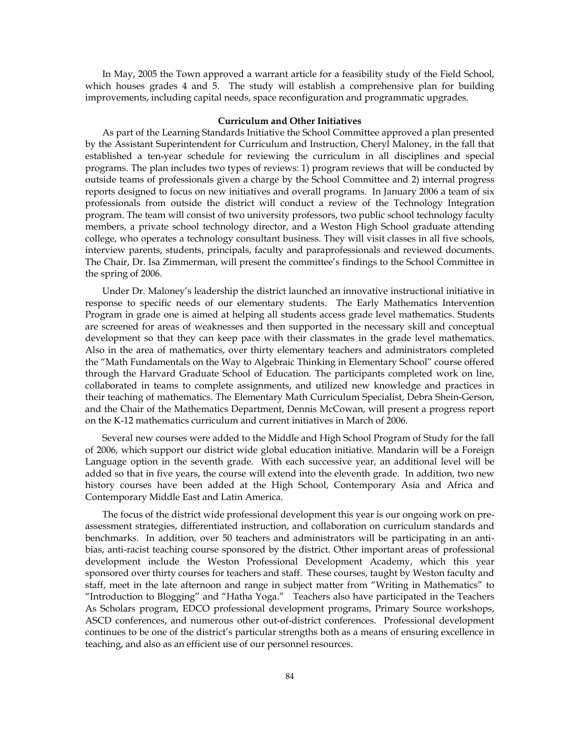In May, 2005 the Town approved a warrant article for a feasibility study of the Field School, which houses grades 4 and 5. The study will establish a comprehensive plan for building improvements, including capital needs, space reconfiguration and programmatic upgrades.

## **Curriculum and Other Initiatives**

 As part of the Learning Standards Initiative the School Committee approved a plan presented by the Assistant Superintendent for Curriculum and Instruction, Cheryl Maloney, in the fall that established a ten-year schedule for reviewing the curriculum in all disciplines and special programs. The plan includes two types of reviews: 1) program reviews that will be conducted by outside teams of professionals given a charge by the School Committee and 2) internal progress reports designed to focus on new initiatives and overall programs. In January 2006 a team of six professionals from outside the district will conduct a review of the Technology Integration program. The team will consist of two university professors, two public school technology faculty members, a private school technology director, and a Weston High School graduate attending college, who operates a technology consultant business. They will visit classes in all five schools, interview parents, students, principals, faculty and paraprofessionals and reviewed documents. The Chair, Dr. Isa Zimmerman, will present the committee's findings to the School Committee in the spring of 2006.

 Under Dr. Maloney's leadership the district launched an innovative instructional initiative in response to specific needs of our elementary students. The Early Mathematics Intervention Program in grade one is aimed at helping all students access grade level mathematics. Students are screened for areas of weaknesses and then supported in the necessary skill and conceptual development so that they can keep pace with their classmates in the grade level mathematics. Also in the area of mathematics, over thirty elementary teachers and administrators completed the "Math Fundamentals on the Way to Algebraic Thinking in Elementary School" course offered through the Harvard Graduate School of Education. The participants completed work on line, collaborated in teams to complete assignments, and utilized new knowledge and practices in their teaching of mathematics. The Elementary Math Curriculum Specialist, Debra Shein-Gerson, and the Chair of the Mathematics Department, Dennis McCowan, will present a progress report on the K-12 mathematics curriculum and current initiatives in March of 2006.

 Several new courses were added to the Middle and High School Program of Study for the fall of 2006, which support our district wide global education initiative. Mandarin will be a Foreign Language option in the seventh grade. With each successive year, an additional level will be added so that in five years, the course will extend into the eleventh grade. In addition, two new history courses have been added at the High School, Contemporary Asia and Africa and Contemporary Middle East and Latin America.

 The focus of the district wide professional development this year is our ongoing work on preassessment strategies, differentiated instruction, and collaboration on curriculum standards and benchmarks. In addition, over 50 teachers and administrators will be participating in an antibias, anti-racist teaching course sponsored by the district. Other important areas of professional development include the Weston Professional Development Academy, which this year sponsored over thirty courses for teachers and staff. These courses, taught by Weston faculty and staff, meet in the late afternoon and range in subject matter from "Writing in Mathematics" to "Introduction to Blogging" and "Hatha Yoga." Teachers also have participated in the Teachers As Scholars program, EDCO professional development programs, Primary Source workshops, ASCD conferences, and numerous other out-of-district conferences. Professional development continues to be one of the district's particular strengths both as a means of ensuring excellence in teaching, and also as an efficient use of our personnel resources.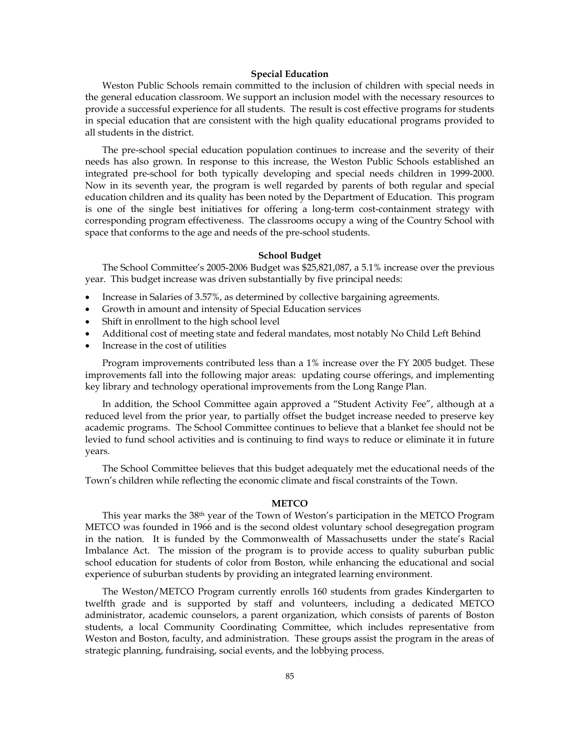## **Special Education**

 Weston Public Schools remain committed to the inclusion of children with special needs in the general education classroom. We support an inclusion model with the necessary resources to provide a successful experience for all students. The result is cost effective programs for students in special education that are consistent with the high quality educational programs provided to all students in the district.

 The pre-school special education population continues to increase and the severity of their needs has also grown. In response to this increase, the Weston Public Schools established an integrated pre-school for both typically developing and special needs children in 1999-2000. Now in its seventh year, the program is well regarded by parents of both regular and special education children and its quality has been noted by the Department of Education. This program is one of the single best initiatives for offering a long-term cost-containment strategy with corresponding program effectiveness. The classrooms occupy a wing of the Country School with space that conforms to the age and needs of the pre-school students.

#### **School Budget**

 The School Committee's 2005-2006 Budget was \$25,821,087, a 5.1% increase over the previous year. This budget increase was driven substantially by five principal needs:

- Increase in Salaries of 3.57%, as determined by collective bargaining agreements.
- Growth in amount and intensity of Special Education services
- Shift in enrollment to the high school level
- Additional cost of meeting state and federal mandates, most notably No Child Left Behind
- Increase in the cost of utilities

 Program improvements contributed less than a 1% increase over the FY 2005 budget. These improvements fall into the following major areas: updating course offerings, and implementing key library and technology operational improvements from the Long Range Plan.

 In addition, the School Committee again approved a "Student Activity Fee", although at a reduced level from the prior year, to partially offset the budget increase needed to preserve key academic programs. The School Committee continues to believe that a blanket fee should not be levied to fund school activities and is continuing to find ways to reduce or eliminate it in future years.

 The School Committee believes that this budget adequately met the educational needs of the Town's children while reflecting the economic climate and fiscal constraints of the Town.

#### **METCO**

 This year marks the 38th year of the Town of Weston's participation in the METCO Program METCO was founded in 1966 and is the second oldest voluntary school desegregation program in the nation. It is funded by the Commonwealth of Massachusetts under the state's Racial Imbalance Act. The mission of the program is to provide access to quality suburban public school education for students of color from Boston, while enhancing the educational and social experience of suburban students by providing an integrated learning environment.

The Weston/METCO Program currently enrolls 160 students from grades Kindergarten to twelfth grade and is supported by staff and volunteers, including a dedicated METCO administrator, academic counselors, a parent organization, which consists of parents of Boston students, a local Community Coordinating Committee, which includes representative from Weston and Boston, faculty, and administration. These groups assist the program in the areas of strategic planning, fundraising, social events, and the lobbying process.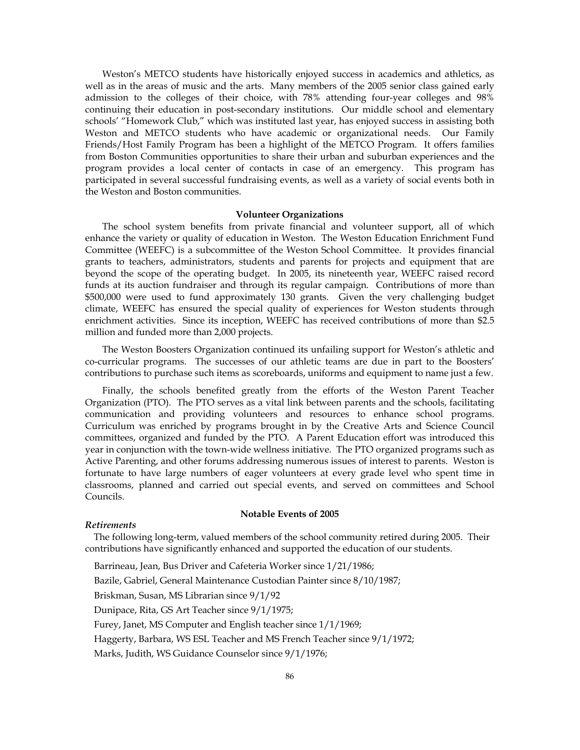Weston's METCO students have historically enjoyed success in academics and athletics, as well as in the areas of music and the arts. Many members of the 2005 senior class gained early admission to the colleges of their choice, with 78% attending four-year colleges and 98% continuing their education in post-secondary institutions. Our middle school and elementary schools' "Homework Club," which was instituted last year, has enjoyed success in assisting both Weston and METCO students who have academic or organizational needs. Our Family Friends/Host Family Program has been a highlight of the METCO Program. It offers families from Boston Communities opportunities to share their urban and suburban experiences and the program provides a local center of contacts in case of an emergency. This program has participated in several successful fundraising events, as well as a variety of social events both in the Weston and Boston communities.

#### **Volunteer Organizations**

 The school system benefits from private financial and volunteer support, all of which enhance the variety or quality of education in Weston. The Weston Education Enrichment Fund Committee (WEEFC) is a subcommittee of the Weston School Committee. It provides financial grants to teachers, administrators, students and parents for projects and equipment that are beyond the scope of the operating budget. In 2005, its nineteenth year, WEEFC raised record funds at its auction fundraiser and through its regular campaign. Contributions of more than \$500,000 were used to fund approximately 130 grants. Given the very challenging budget climate, WEEFC has ensured the special quality of experiences for Weston students through enrichment activities. Since its inception, WEEFC has received contributions of more than \$2.5 million and funded more than 2,000 projects.

The Weston Boosters Organization continued its unfailing support for Weston's athletic and co-curricular programs. The successes of our athletic teams are due in part to the Boosters' contributions to purchase such items as scoreboards, uniforms and equipment to name just a few.

Finally, the schools benefited greatly from the efforts of the Weston Parent Teacher Organization (PTO). The PTO serves as a vital link between parents and the schools, facilitating communication and providing volunteers and resources to enhance school programs. Curriculum was enriched by programs brought in by the Creative Arts and Science Council committees, organized and funded by the PTO. A Parent Education effort was introduced this year in conjunction with the town-wide wellness initiative. The PTO organized programs such as Active Parenting, and other forums addressing numerous issues of interest to parents. Weston is fortunate to have large numbers of eager volunteers at every grade level who spent time in classrooms, planned and carried out special events, and served on committees and School Councils.

#### **Notable Events of 2005**

#### *Retirements*

The following long-term, valued members of the school community retired during 2005. Their contributions have significantly enhanced and supported the education of our students.

Barrineau, Jean, Bus Driver and Cafeteria Worker since 1/21/1986; Bazile, Gabriel, General Maintenance Custodian Painter since 8/10/1987; Briskman, Susan, MS Librarian since 9/1/92 Dunipace, Rita, GS Art Teacher since 9/1/1975; Furey, Janet, MS Computer and English teacher since 1/1/1969; Haggerty, Barbara, WS ESL Teacher and MS French Teacher since 9/1/1972; Marks, Judith, WS Guidance Counselor since 9/1/1976;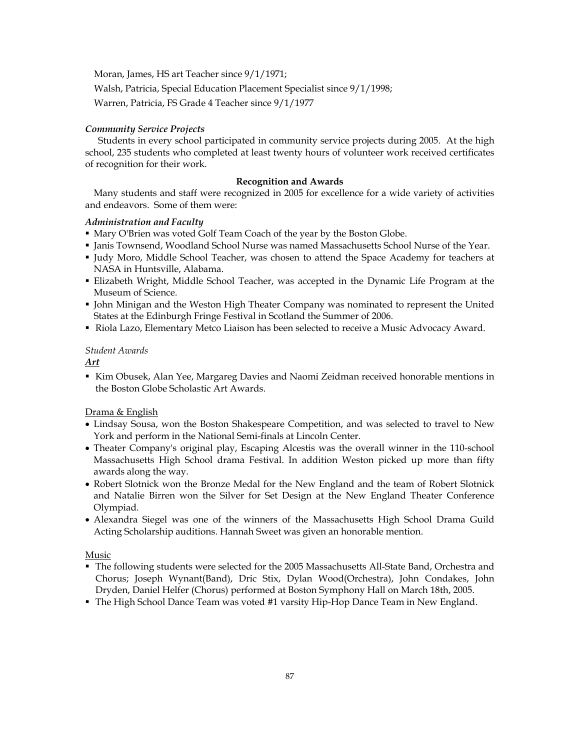Moran, James, HS art Teacher since 9/1/1971; Walsh, Patricia, Special Education Placement Specialist since 9/1/1998; Warren, Patricia, FS Grade 4 Teacher since 9/1/1977

## *Community Service Projects*

Students in every school participated in community service projects during 2005. At the high school, 235 students who completed at least twenty hours of volunteer work received certificates of recognition for their work.

## **Recognition and Awards**

Many students and staff were recognized in 2005 for excellence for a wide variety of activities and endeavors. Some of them were:

#### *Administration and Faculty*

- Mary O'Brien was voted Golf Team Coach of the year by the Boston Globe.
- Janis Townsend, Woodland School Nurse was named Massachusetts School Nurse of the Year.
- Judy Moro, Middle School Teacher, was chosen to attend the Space Academy for teachers at NASA in Huntsville, Alabama.
- Elizabeth Wright, Middle School Teacher, was accepted in the Dynamic Life Program at the Museum of Science.
- John Minigan and the Weston High Theater Company was nominated to represent the United States at the Edinburgh Fringe Festival in Scotland the Summer of 2006.
- **-** Riola Lazo, Elementary Metco Liaison has been selected to receive a Music Advocacy Award.

# *Student Awards*

## *Art*

Kim Obusek, Alan Yee, Margareg Davies and Naomi Zeidman received honorable mentions in the Boston Globe Scholastic Art Awards.

## Drama & English

- Lindsay Sousa, won the Boston Shakespeare Competition, and was selected to travel to New York and perform in the National Semi-finals at Lincoln Center.
- Theater Company's original play, Escaping Alcestis was the overall winner in the 110-school Massachusetts High School drama Festival. In addition Weston picked up more than fifty awards along the way.
- Robert Slotnick won the Bronze Medal for the New England and the team of Robert Slotnick and Natalie Birren won the Silver for Set Design at the New England Theater Conference Olympiad.
- Alexandra Siegel was one of the winners of the Massachusetts High School Drama Guild Acting Scholarship auditions. Hannah Sweet was given an honorable mention.

## Music

- The following students were selected for the 2005 Massachusetts All-State Band, Orchestra and Chorus; Joseph Wynant(Band), Dric Stix, Dylan Wood(Orchestra), John Condakes, John Dryden, Daniel Helfer (Chorus) performed at Boston Symphony Hall on March 18th, 2005.
- The High School Dance Team was voted #1 varsity Hip-Hop Dance Team in New England.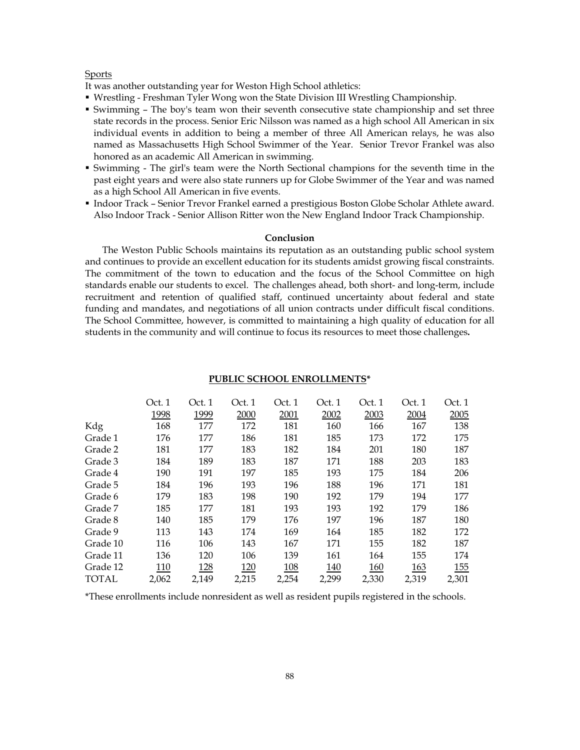#### Sports

It was another outstanding year for Weston High School athletics:

- Wrestling Freshman Tyler Wong won the State Division III Wrestling Championship.
- Swimming The boy's team won their seventh consecutive state championship and set three state records in the process. Senior Eric Nilsson was named as a high school All American in six individual events in addition to being a member of three All American relays, he was also named as Massachusetts High School Swimmer of the Year. Senior Trevor Frankel was also honored as an academic All American in swimming.
- Swimming The girl's team were the North Sectional champions for the seventh time in the past eight years and were also state runners up for Globe Swimmer of the Year and was named as a high School All American in five events.
- Indoor Track Senior Trevor Frankel earned a prestigious Boston Globe Scholar Athlete award. Also Indoor Track - Senior Allison Ritter won the New England Indoor Track Championship.

#### **Conclusion**

 The Weston Public Schools maintains its reputation as an outstanding public school system and continues to provide an excellent education for its students amidst growing fiscal constraints. The commitment of the town to education and the focus of the School Committee on high standards enable our students to excel. The challenges ahead, both short- and long-term, include recruitment and retention of qualified staff, continued uncertainty about federal and state funding and mandates, and negotiations of all union contracts under difficult fiscal conditions. The School Committee, however, is committed to maintaining a high quality of education for all students in the community and will continue to focus its resources to meet those challenges**.** 

|              | Oct. 1 | Oct. 1 | Oct. 1 | Oct. 1 | Oct. 1 | Oct. 1 | Oct. 1 | Oct. 1 |
|--------------|--------|--------|--------|--------|--------|--------|--------|--------|
|              | 1998   | 1999   | 2000   | 2001   | 2002   | 2003   | 2004   | 2005   |
| Kdg          | 168    | 177    | 172    | 181    | 160    | 166    | 167    | 138    |
| Grade 1      | 176    | 177    | 186    | 181    | 185    | 173    | 172    | 175    |
| Grade 2      | 181    | 177    | 183    | 182    | 184    | 201    | 180    | 187    |
| Grade 3      | 184    | 189    | 183    | 187    | 171    | 188    | 203    | 183    |
| Grade 4      | 190    | 191    | 197    | 185    | 193    | 175    | 184    | 206    |
| Grade 5      | 184    | 196    | 193    | 196    | 188    | 196    | 171    | 181    |
| Grade 6      | 179    | 183    | 198    | 190    | 192    | 179    | 194    | 177    |
| Grade 7      | 185    | 177    | 181    | 193    | 193    | 192    | 179    | 186    |
| Grade 8      | 140    | 185    | 179    | 176    | 197    | 196    | 187    | 180    |
| Grade 9      | 113    | 143    | 174    | 169    | 164    | 185    | 182    | 172    |
| Grade 10     | 116    | 106    | 143    | 167    | 171    | 155    | 182    | 187    |
| Grade 11     | 136    | 120    | 106    | 139    | 161    | 164    | 155    | 174    |
| Grade 12     | 110    | 128    | 120    | 108    | 140    | 160    | 163    | 155    |
| <b>TOTAL</b> | 2,062  | 2,149  | 2,215  | 2,254  | 2,299  | 2,330  | 2,319  | 2,301  |

#### **PUBLIC SCHOOL ENROLLMENTS\***

\*These enrollments include nonresident as well as resident pupils registered in the schools.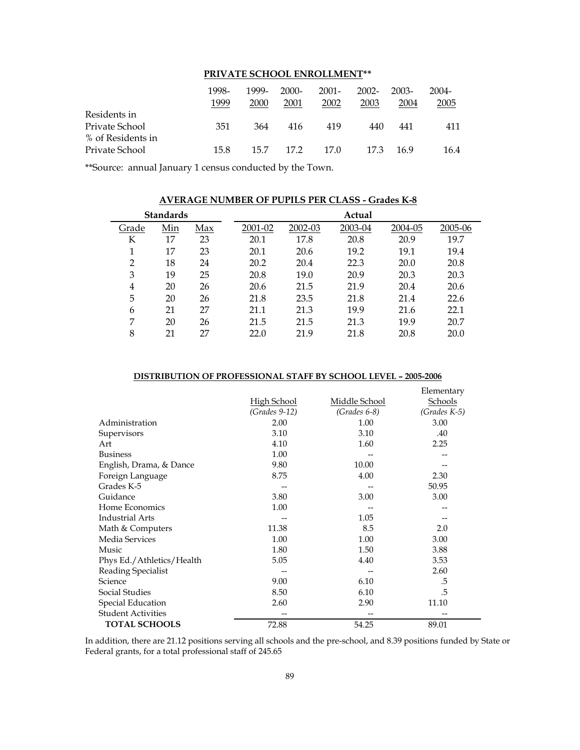# **PRIVATE SCHOOL ENROLLMENT\*\***

|                                     | 1998-<br>1999 | 1999-<br>2000 | 2000-<br>2001 | $2001 -$<br>2002 | 2002-<br>2003 | 2003-<br>2004 | 2004-<br>2005 |
|-------------------------------------|---------------|---------------|---------------|------------------|---------------|---------------|---------------|
| Residents in<br>Private School      | 351           | 364           | 416           | 419              | 440           | 441           | 411           |
| % of Residents in<br>Private School | 15.8          | 15.7          | 17.2          | 17.0             | 17.3          | 169           | 16.4          |

\*\*Source: annual January 1 census conducted by the Town.

| 117 ERITOE ITOINDER OF FOLIED FER CERTOO<br>OIUMU IL V |                  |     |         |         |         |         |         |  |  |
|--------------------------------------------------------|------------------|-----|---------|---------|---------|---------|---------|--|--|
|                                                        | <b>Standards</b> |     |         |         | Actual  |         |         |  |  |
| Grade                                                  | Min              | Max | 2001-02 | 2002-03 | 2003-04 | 2004-05 | 2005-06 |  |  |
| К                                                      | 17               | 23  | 20.1    | 17.8    | 20.8    | 20.9    | 19.7    |  |  |
| 1                                                      | 17               | 23  | 20.1    | 20.6    | 19.2    | 19.1    | 19.4    |  |  |
| $\overline{2}$                                         | 18               | 24  | 20.2    | 20.4    | 22.3    | 20.0    | 20.8    |  |  |
| 3                                                      | 19               | 25  | 20.8    | 19.0    | 20.9    | 20.3    | 20.3    |  |  |
| 4                                                      | 20               | 26  | 20.6    | 21.5    | 21.9    | 20.4    | 20.6    |  |  |
| 5                                                      | 20               | 26  | 21.8    | 23.5    | 21.8    | 21.4    | 22.6    |  |  |
| 6                                                      | 21               | 27  | 21.1    | 21.3    | 19.9    | 21.6    | 22.1    |  |  |
| 7                                                      | 20               | 26  | 21.5    | 21.5    | 21.3    | 19.9    | 20.7    |  |  |
| 8                                                      | 21               | 27  | 22.0    | 21.9    | 21.8    | 20.8    | 20.0    |  |  |

# **AVERAGE NUMBER OF PUPILS PER CLASS - Grades K-8**

## **DISTRIBUTION OF PROFESSIONAL STAFF BY SCHOOL LEVEL – 2005-2006**

|                           |                    |                | Elementary     |
|---------------------------|--------------------|----------------|----------------|
|                           | <u>High School</u> | Middle School  | Schools        |
|                           | $(Grades 9-12)$    | $(Grades 6-8)$ | $(Grades K-5)$ |
| Administration            | 2.00               | 1.00           | 3.00           |
| Supervisors               | 3.10               | 3.10           | .40            |
| Art                       | 4.10               | 1.60           | 2.25           |
| <b>Business</b>           | 1.00               |                |                |
| English, Drama, & Dance   | 9.80               | 10.00          |                |
| Foreign Language          | 8.75               | 4.00           | 2.30           |
| Grades K-5                |                    |                | 50.95          |
| Guidance                  | 3.80               | 3.00           | 3.00           |
| Home Economics            | 1.00               |                |                |
| <b>Industrial Arts</b>    |                    | 1.05           |                |
| Math & Computers          | 11.38              | 8.5            | 2.0            |
| Media Services            | 1.00               | 1.00           | 3.00           |
| Music                     | 1.80               | 1.50           | 3.88           |
| Phys Ed./Athletics/Health | 5.05               | 4.40           | 3.53           |
| Reading Specialist        |                    |                | 2.60           |
| Science                   | 9.00               | 6.10           | .5             |
| Social Studies            | 8.50               | 6.10           | .5             |
| Special Education         | 2.60               | 2.90           | 11.10          |
| <b>Student Activities</b> |                    |                |                |
| <b>TOTAL SCHOOLS</b>      | 72.88              | 54.25          | 89.01          |

In addition, there are 21.12 positions serving all schools and the pre-school, and 8.39 positions funded by State or Federal grants, for a total professional staff of 245.65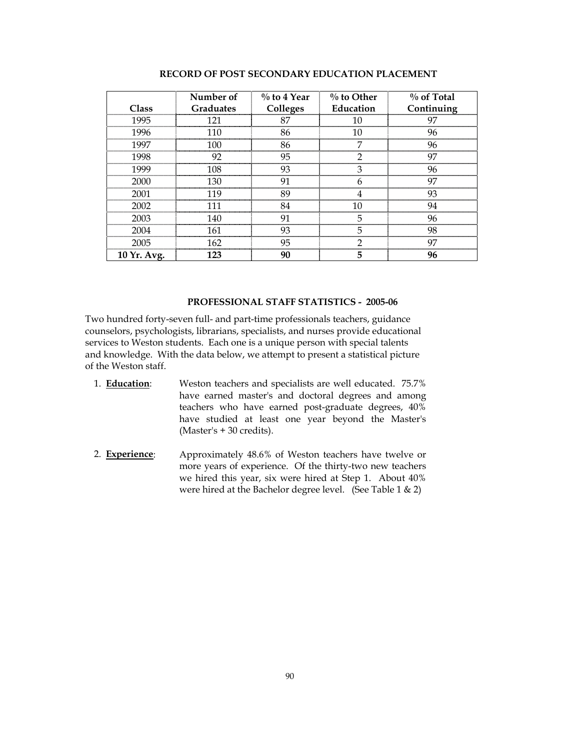| Class       | Number of<br><b>Graduates</b> | $\%$ to 4 Year<br>Colleges | $\%$ to Other<br>Education | $\%$ of Total<br>Continuing |
|-------------|-------------------------------|----------------------------|----------------------------|-----------------------------|
| 1995        | 171                           | 87                         | 10                         | 97                          |
| 1996        |                               | 86                         | 10                         | 96                          |
| 1997        |                               | 86                         |                            | 96                          |
| 1998        | 92                            | 95                         | っ                          | 97                          |
| 1999        | 108                           | 93                         | 3                          | 96                          |
| 2000        | 136                           | 91                         | h                          | 97                          |
| 2001        | 119                           | 89                         |                            | 93                          |
| 2002        | 111                           | 84                         | 10                         | 94                          |
| 2003        |                               | 91                         | 5                          | 96                          |
| 2004        | 161                           | 93                         | 5                          | 98                          |
| 2005        | 162                           | 95                         | ົ                          | 97                          |
| 10 Yr. Avg. | 123                           | 90                         | 5                          | 96                          |

# **RECORD OF POST SECONDARY EDUCATION PLACEMENT**

## **PROFESSIONAL STAFF STATISTICS - 2005-06**

Two hundred forty-seven full- and part-time professionals teachers, guidance counselors, psychologists, librarians, specialists, and nurses provide educational services to Weston students. Each one is a unique person with special talents and knowledge. With the data below, we attempt to present a statistical picture of the Weston staff.

- 1. **Education**: Weston teachers and specialists are well educated. 75.7% have earned master's and doctoral degrees and among teachers who have earned post-graduate degrees, 40% have studied at least one year beyond the Master's (Master's + 30 credits).
- 2. **Experience**: Approximately 48.6% of Weston teachers have twelve or more years of experience. Of the thirty-two new teachers we hired this year, six were hired at Step 1. About 40% were hired at the Bachelor degree level. (See Table 1 & 2)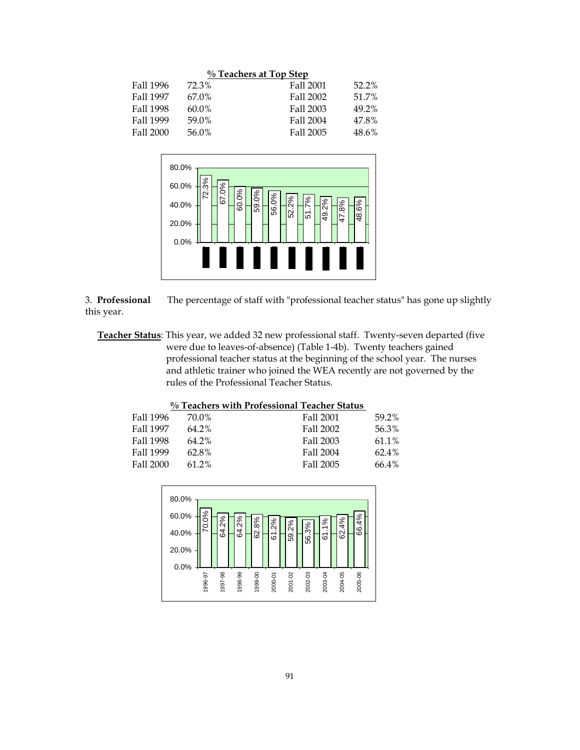| % Teachers at Top Step |       |           |       |  |  |  |  |  |
|------------------------|-------|-----------|-------|--|--|--|--|--|
| Fall 1996              | 72.3% | Fall 2001 | 52.2% |  |  |  |  |  |
| Fall 1997              | 67.0% | Fall 2002 | 51.7% |  |  |  |  |  |
| Fall 1998              | 60.0% | Fall 2003 | 49.2% |  |  |  |  |  |
| Fall 1999              | 59.0% | Fall 2004 | 47.8% |  |  |  |  |  |
| Fall 2000              | 56.0% | Fall 2005 | 48.6% |  |  |  |  |  |



3. **Professional** The percentage of staff with "professional teacher status" has gone up slightly this year.

 **Teacher Status**: This year, we added 32 new professional staff. Twenty-seven departed (five were due to leaves-of-absence) (Table 1-4b). Twenty teachers gained professional teacher status at the beginning of the school year. The nurses and athletic trainer who joined the WEA recently are not governed by the rules of the Professional Teacher Status.

# **% Teachers with Professional Teacher Status**

| 70.0% | Fall 2001 | 59.2% |
|-------|-----------|-------|
| 64.2% | Fall 2002 | 56.3% |
| 64.2% | Fall 2003 | 61.1% |
| 62.8% | Fall 2004 | 62.4% |
| 61.2% | Fall 2005 | 66.4% |
|       |           |       |

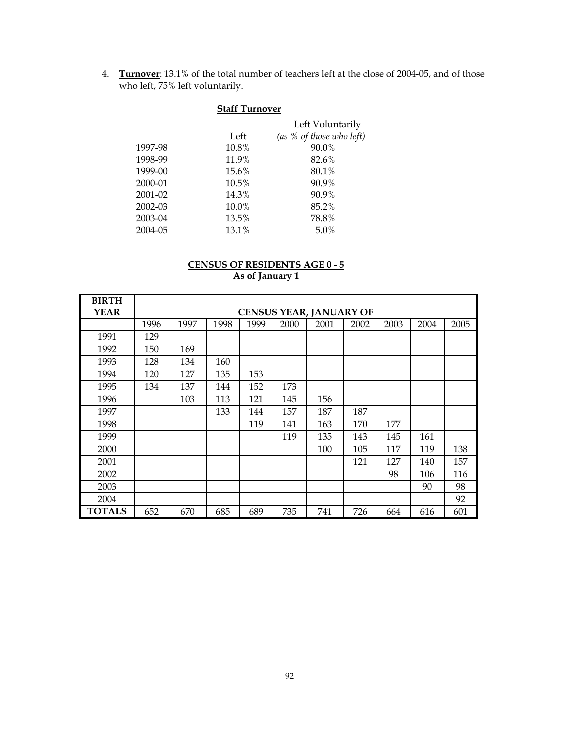4. **Turnover**: 13.1% of the total number of teachers left at the close of 2004-05, and of those who left, 75% left voluntarily.

| <b>Staff Turnover</b> |       |                          |  |  |  |  |  |  |
|-----------------------|-------|--------------------------|--|--|--|--|--|--|
|                       |       | Left Voluntarily         |  |  |  |  |  |  |
|                       | Left  | (as % of those who left) |  |  |  |  |  |  |
| 1997-98               | 10.8% | 90.0%                    |  |  |  |  |  |  |
| 1998-99               | 11.9% | 82.6%                    |  |  |  |  |  |  |
| 1999-00               | 15.6% | 80.1%                    |  |  |  |  |  |  |
| 2000-01               | 10.5% | 90.9%                    |  |  |  |  |  |  |
| 2001-02               | 14.3% | 90.9%                    |  |  |  |  |  |  |
| 2002-03               | 10.0% | 85.2%                    |  |  |  |  |  |  |
| 2003-04               | 13.5% | 78.8%                    |  |  |  |  |  |  |
| 2004-05               | 13.1% | 5.0%                     |  |  |  |  |  |  |
|                       |       |                          |  |  |  |  |  |  |

# **CENSUS OF RESIDENTS AGE 0 - 5**

**As of January 1** 

| <b>BIRTH</b>  |      |      |      |      |      |                                |      |      |      |      |
|---------------|------|------|------|------|------|--------------------------------|------|------|------|------|
| <b>YEAR</b>   |      |      |      |      |      | <b>CENSUS YEAR, JANUARY OF</b> |      |      |      |      |
|               | 1996 | 1997 | 1998 | 1999 | 2000 | 2001                           | 2002 | 2003 | 2004 | 2005 |
| 1991          | 129  |      |      |      |      |                                |      |      |      |      |
| 1992          | 150  | 169  |      |      |      |                                |      |      |      |      |
| 1993          | 128  | 134  | 160  |      |      |                                |      |      |      |      |
| 1994          | 120  | 127  | 135  | 153  |      |                                |      |      |      |      |
| 1995          | 134  | 137  | 144  | 152  | 173  |                                |      |      |      |      |
| 1996          |      | 103  | 113  | 121  | 145  | 156                            |      |      |      |      |
| 1997          |      |      | 133  | 144  | 157  | 187                            | 187  |      |      |      |
| 1998          |      |      |      | 119  | 141  | 163                            | 170  | 177  |      |      |
| 1999          |      |      |      |      | 119  | 135                            | 143  | 145  | 161  |      |
| 2000          |      |      |      |      |      | 100                            | 105  | 117  | 119  | 138  |
| 2001          |      |      |      |      |      |                                | 121  | 127  | 140  | 157  |
| 2002          |      |      |      |      |      |                                |      | 98   | 106  | 116  |
| 2003          |      |      |      |      |      |                                |      |      | 90   | 98   |
| 2004          |      |      |      |      |      |                                |      |      |      | 92   |
| <b>TOTALS</b> | 652  | 670  | 685  | 689  | 735  | 741                            | 726  | 664  | 616  | 601  |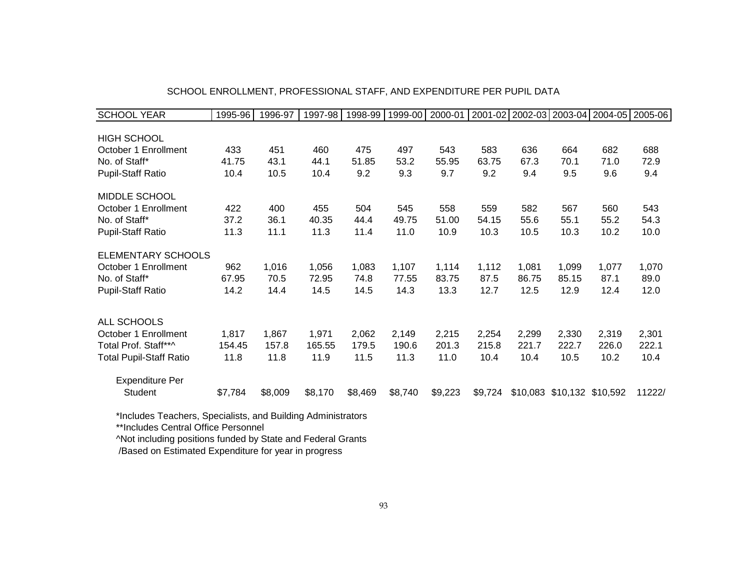| <b>SCHOOL YEAR</b>             | 1995-96 | 1996-97 | 1997-98 |         | 1998-99   1999-00 | 2000-01 |         |       |                            | 2001-02   2002-03   2003-04   2004-05   2005-06 |        |
|--------------------------------|---------|---------|---------|---------|-------------------|---------|---------|-------|----------------------------|-------------------------------------------------|--------|
|                                |         |         |         |         |                   |         |         |       |                            |                                                 |        |
| <b>HIGH SCHOOL</b>             |         |         |         |         |                   |         |         |       |                            |                                                 |        |
| October 1 Enrollment           | 433     | 451     | 460     | 475     | 497               | 543     | 583     | 636   | 664                        | 682                                             | 688    |
| No. of Staff*                  | 41.75   | 43.1    | 44.1    | 51.85   | 53.2              | 55.95   | 63.75   | 67.3  | 70.1                       | 71.0                                            | 72.9   |
| <b>Pupil-Staff Ratio</b>       | 10.4    | 10.5    | 10.4    | 9.2     | 9.3               | 9.7     | 9.2     | 9.4   | 9.5                        | 9.6                                             | 9.4    |
| MIDDLE SCHOOL                  |         |         |         |         |                   |         |         |       |                            |                                                 |        |
| October 1 Enrollment           | 422     | 400     | 455     | 504     | 545               | 558     | 559     | 582   | 567                        | 560                                             | 543    |
| No. of Staff*                  | 37.2    | 36.1    | 40.35   | 44.4    | 49.75             | 51.00   | 54.15   | 55.6  | 55.1                       | 55.2                                            | 54.3   |
| <b>Pupil-Staff Ratio</b>       | 11.3    | 11.1    | 11.3    | 11.4    | 11.0              | 10.9    | 10.3    | 10.5  | 10.3                       | 10.2                                            | 10.0   |
| ELEMENTARY SCHOOLS             |         |         |         |         |                   |         |         |       |                            |                                                 |        |
| October 1 Enrollment           | 962     | 1,016   | 1,056   | 1,083   | 1,107             | 1,114   | 1,112   | 1,081 | 1,099                      | 1,077                                           | 1,070  |
| No. of Staff*                  | 67.95   | 70.5    | 72.95   | 74.8    | 77.55             | 83.75   | 87.5    | 86.75 | 85.15                      | 87.1                                            | 89.0   |
| <b>Pupil-Staff Ratio</b>       | 14.2    | 14.4    | 14.5    | 14.5    | 14.3              | 13.3    | 12.7    | 12.5  | 12.9                       | 12.4                                            | 12.0   |
|                                |         |         |         |         |                   |         |         |       |                            |                                                 |        |
| ALL SCHOOLS                    |         |         |         |         |                   |         |         |       |                            |                                                 |        |
| October 1 Enrollment           | 1,817   | 1,867   | 1,971   | 2,062   | 2,149             | 2,215   | 2,254   | 2,299 | 2,330                      | 2,319                                           | 2,301  |
| Total Prof. Staff**^           | 154.45  | 157.8   | 165.55  | 179.5   | 190.6             | 201.3   | 215.8   | 221.7 | 222.7                      | 226.0                                           | 222.1  |
| <b>Total Pupil-Staff Ratio</b> | 11.8    | 11.8    | 11.9    | 11.5    | 11.3              | 11.0    | 10.4    | 10.4  | 10.5                       | 10.2                                            | 10.4   |
| <b>Expenditure Per</b>         |         |         |         |         |                   |         |         |       |                            |                                                 |        |
| Student                        | \$7,784 | \$8,009 | \$8,170 | \$8,469 | \$8,740           | \$9,223 | \$9,724 |       | \$10,083 \$10,132 \$10,592 |                                                 | 11222/ |

# SCHOOL ENROLLMENT, PROFESSIONAL STAFF, AND EXPENDITURE PER PUPIL DATA

\*Includes Teachers, Specialists, and Building Administrators

\*\*Includes Central Office Personnel

 ^Not including positions funded by State and Federal Grants /Based on Estimated Expenditure for year in progress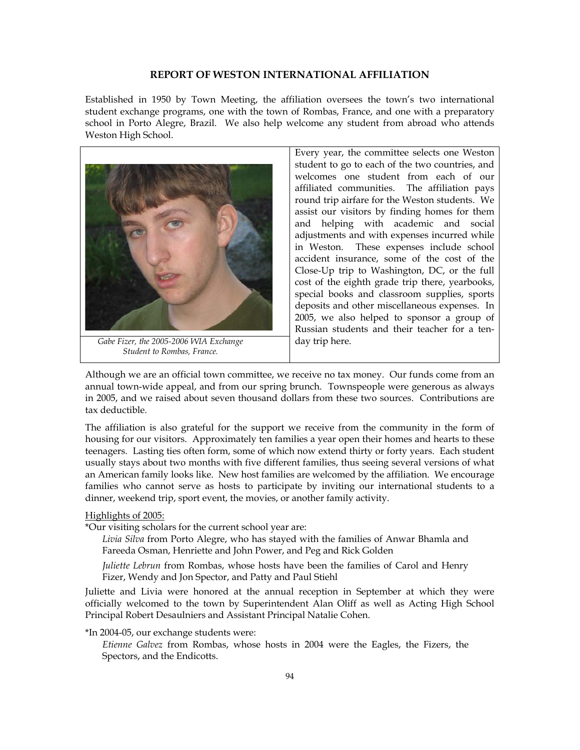## **REPORT OF WESTON INTERNATIONAL AFFILIATION**

Established in 1950 by Town Meeting, the affiliation oversees the town's two international student exchange programs, one with the town of Rombas, France, and one with a preparatory school in Porto Alegre, Brazil. We also help welcome any student from abroad who attends Weston High School.



*Gabe Fizer, the 2005-2006 WIA Exchange Student to Rombas, France.* 

Every year, the committee selects one Weston student to go to each of the two countries, and welcomes one student from each of our affiliated communities. The affiliation pays round trip airfare for the Weston students. We assist our visitors by finding homes for them and helping with academic and social adjustments and with expenses incurred while in Weston. These expenses include school accident insurance, some of the cost of the Close-Up trip to Washington, DC, or the full cost of the eighth grade trip there, yearbooks, special books and classroom supplies, sports deposits and other miscellaneous expenses. In 2005, we also helped to sponsor a group of Russian students and their teacher for a tenday trip here.

Although we are an official town committee, we receive no tax money. Our funds come from an annual town-wide appeal, and from our spring brunch. Townspeople were generous as always in 2005, and we raised about seven thousand dollars from these two sources. Contributions are tax deductible.

The affiliation is also grateful for the support we receive from the community in the form of housing for our visitors. Approximately ten families a year open their homes and hearts to these teenagers. Lasting ties often form, some of which now extend thirty or forty years. Each student usually stays about two months with five different families, thus seeing several versions of what an American family looks like. New host families are welcomed by the affiliation. We encourage families who cannot serve as hosts to participate by inviting our international students to a dinner, weekend trip, sport event, the movies, or another family activity.

# Highlights of 2005:

\*Our visiting scholars for the current school year are:

*Livia Silva* from Porto Alegre, who has stayed with the families of Anwar Bhamla and Fareeda Osman, Henriette and John Power, and Peg and Rick Golden

*Juliette Lebrun* from Rombas, whose hosts have been the families of Carol and Henry Fizer, Wendy and Jon Spector, and Patty and Paul Stiehl

Juliette and Livia were honored at the annual reception in September at which they were officially welcomed to the town by Superintendent Alan Oliff as well as Acting High School Principal Robert Desaulniers and Assistant Principal Natalie Cohen.

## \*In 2004-05, our exchange students were:

*Etienne Galvez* from Rombas, whose hosts in 2004 were the Eagles, the Fizers, the Spectors, and the Endicotts.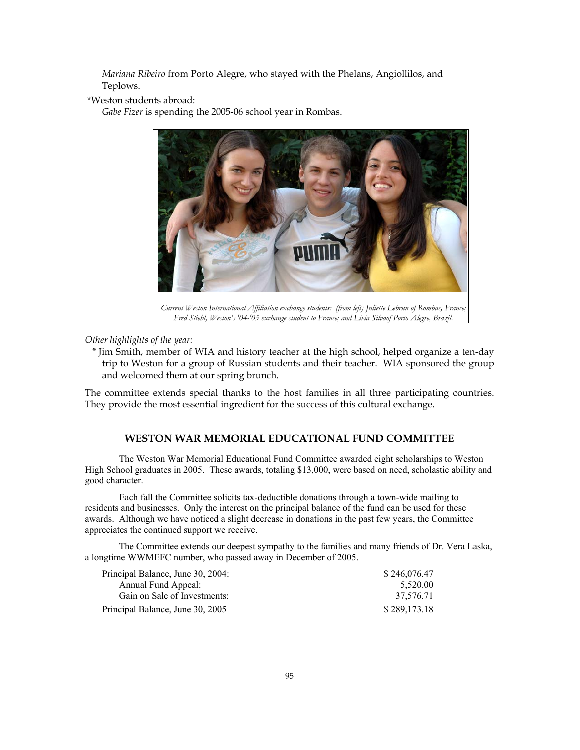*Mariana Ribeiro* from Porto Alegre, who stayed with the Phelans, Angiollilos, and Teplows.

\*Weston students abroad:

*Gabe Fizer* is spending the 2005-06 school year in Rombas.



*Other highlights of the year:* 

٭ Jim Smith, member of WIA and history teacher at the high school, helped organize a ten-day trip to Weston for a group of Russian students and their teacher. WIA sponsored the group and welcomed them at our spring brunch.

The committee extends special thanks to the host families in all three participating countries. They provide the most essential ingredient for the success of this cultural exchange.

# **WESTON WAR MEMORIAL EDUCATIONAL FUND COMMITTEE**

 The Weston War Memorial Educational Fund Committee awarded eight scholarships to Weston High School graduates in 2005. These awards, totaling \$13,000, were based on need, scholastic ability and good character.

 Each fall the Committee solicits tax-deductible donations through a town-wide mailing to residents and businesses. Only the interest on the principal balance of the fund can be used for these awards. Although we have noticed a slight decrease in donations in the past few years, the Committee appreciates the continued support we receive.

 The Committee extends our deepest sympathy to the families and many friends of Dr. Vera Laska, a longtime WWMEFC number, who passed away in December of 2005.

| Principal Balance, June 30, 2004: | \$246,076.47 |
|-----------------------------------|--------------|
| Annual Fund Appeal:               | 5,520.00     |
| Gain on Sale of Investments:      | 37,576.71    |
| Principal Balance, June 30, 2005  | \$289.173.18 |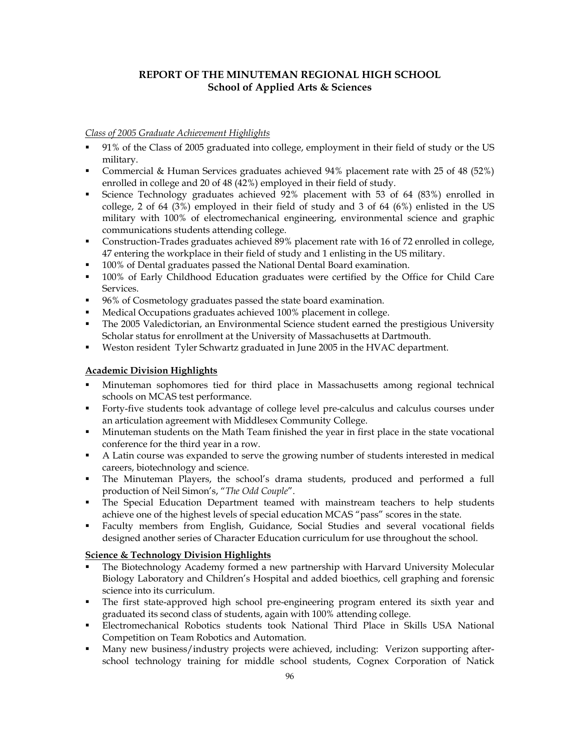# **REPORT OF THE MINUTEMAN REGIONAL HIGH SCHOOL School of Applied Arts & Sciences**

# *Class of 2005 Graduate Achievement Highlights*

- 91% of the Class of 2005 graduated into college, employment in their field of study or the US military.
- Commercial & Human Services graduates achieved 94% placement rate with 25 of 48 (52%) enrolled in college and 20 of 48 (42%) employed in their field of study.
- Science Technology graduates achieved 92% placement with 53 of 64 (83%) enrolled in college, 2 of 64 (3%) employed in their field of study and 3 of 64 (6%) enlisted in the US military with 100% of electromechanical engineering, environmental science and graphic communications students attending college.
- Construction-Trades graduates achieved 89% placement rate with 16 of 72 enrolled in college, 47 entering the workplace in their field of study and 1 enlisting in the US military.
- 100% of Dental graduates passed the National Dental Board examination.
- 100% of Early Childhood Education graduates were certified by the Office for Child Care Services.
- 96% of Cosmetology graduates passed the state board examination.
- Medical Occupations graduates achieved 100% placement in college.
- The 2005 Valedictorian, an Environmental Science student earned the prestigious University Scholar status for enrollment at the University of Massachusetts at Dartmouth.
- Weston resident Tyler Schwartz graduated in June 2005 in the HVAC department.

# **Academic Division Highlights**

- Minuteman sophomores tied for third place in Massachusetts among regional technical schools on MCAS test performance.
- Forty-five students took advantage of college level pre-calculus and calculus courses under an articulation agreement with Middlesex Community College.
- Minuteman students on the Math Team finished the year in first place in the state vocational conference for the third year in a row.
- A Latin course was expanded to serve the growing number of students interested in medical careers, biotechnology and science.
- The Minuteman Players, the school's drama students, produced and performed a full production of Neil Simon's, "*The Odd Couple*".
- The Special Education Department teamed with mainstream teachers to help students achieve one of the highest levels of special education MCAS "pass" scores in the state.
- Faculty members from English, Guidance, Social Studies and several vocational fields designed another series of Character Education curriculum for use throughout the school.

# **Science & Technology Division Highlights**

- The Biotechnology Academy formed a new partnership with Harvard University Molecular Biology Laboratory and Children's Hospital and added bioethics, cell graphing and forensic science into its curriculum.
- The first state-approved high school pre-engineering program entered its sixth year and graduated its second class of students, again with 100% attending college.
- Electromechanical Robotics students took National Third Place in Skills USA National Competition on Team Robotics and Automation.
- Many new business/industry projects were achieved, including: Verizon supporting afterschool technology training for middle school students, Cognex Corporation of Natick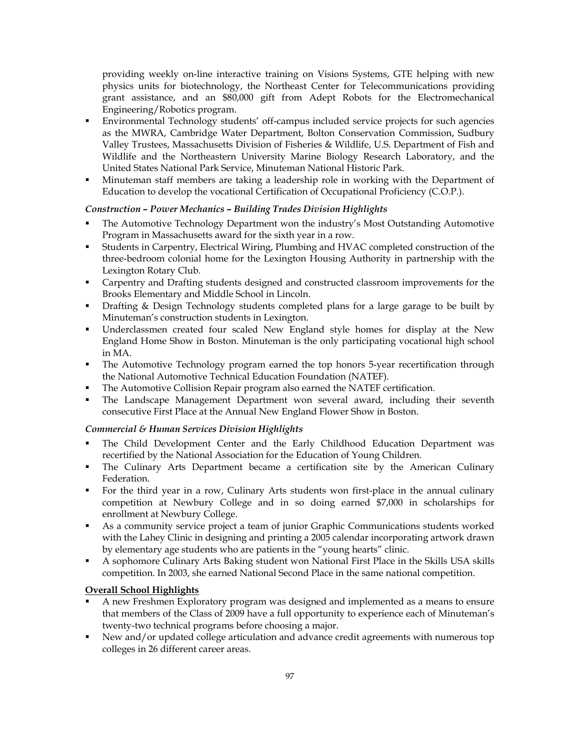providing weekly on-line interactive training on Visions Systems, GTE helping with new physics units for biotechnology, the Northeast Center for Telecommunications providing grant assistance, and an \$80,000 gift from Adept Robots for the Electromechanical Engineering/Robotics program.

- Environmental Technology students' off-campus included service projects for such agencies as the MWRA, Cambridge Water Department, Bolton Conservation Commission, Sudbury Valley Trustees, Massachusetts Division of Fisheries & Wildlife, U.S. Department of Fish and Wildlife and the Northeastern University Marine Biology Research Laboratory, and the United States National Park Service, Minuteman National Historic Park.
- Minuteman staff members are taking a leadership role in working with the Department of Education to develop the vocational Certification of Occupational Proficiency (C.O.P.).

# *Construction – Power Mechanics – Building Trades Division Highlights*

- The Automotive Technology Department won the industry's Most Outstanding Automotive Program in Massachusetts award for the sixth year in a row.
- Students in Carpentry, Electrical Wiring, Plumbing and HVAC completed construction of the three-bedroom colonial home for the Lexington Housing Authority in partnership with the Lexington Rotary Club.
- Carpentry and Drafting students designed and constructed classroom improvements for the Brooks Elementary and Middle School in Lincoln.
- **Drafting & Design Technology students completed plans for a large garage to be built by** Minuteman's construction students in Lexington.
- Underclassmen created four scaled New England style homes for display at the New England Home Show in Boston. Minuteman is the only participating vocational high school in MA.
- **The Automotive Technology program earned the top honors 5-year recertification through** the National Automotive Technical Education Foundation (NATEF).
- The Automotive Collision Repair program also earned the NATEF certification.
- The Landscape Management Department won several award, including their seventh consecutive First Place at the Annual New England Flower Show in Boston.

## *Commercial & Human Services Division Highlights*

- The Child Development Center and the Early Childhood Education Department was recertified by the National Association for the Education of Young Children.
- The Culinary Arts Department became a certification site by the American Culinary Federation.
- For the third year in a row, Culinary Arts students won first-place in the annual culinary competition at Newbury College and in so doing earned \$7,000 in scholarships for enrollment at Newbury College.
- As a community service project a team of junior Graphic Communications students worked with the Lahey Clinic in designing and printing a 2005 calendar incorporating artwork drawn by elementary age students who are patients in the "young hearts" clinic.
- A sophomore Culinary Arts Baking student won National First Place in the Skills USA skills competition. In 2003, she earned National Second Place in the same national competition.

# **Overall School Highlights**

- A new Freshmen Exploratory program was designed and implemented as a means to ensure that members of the Class of 2009 have a full opportunity to experience each of Minuteman's twenty-two technical programs before choosing a major.
- New and/or updated college articulation and advance credit agreements with numerous top colleges in 26 different career areas.